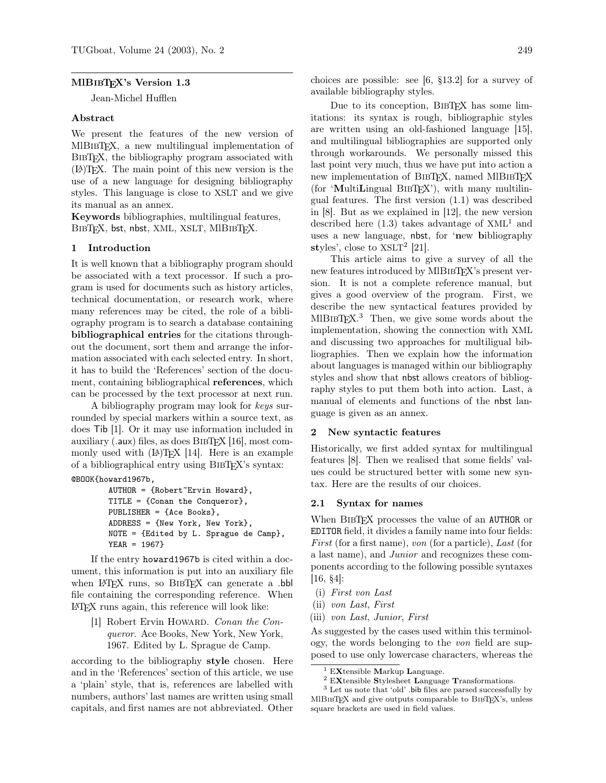### MIBIBTEX's Version 1.3

Jean-Michel Hufflen

### Abstract

We present the features of the new version of MlBibTEX, a new multilingual implementation of BibTEX, the bibliography program associated with (LA)TEX. The main point of this new version is the use of a new language for designing bibliography styles. This language is close to XSLT and we give its manual as an annex.

Keywords bibliographies, multilingual features, BIBTFX, bst, nbst, XML, XSLT, MlBIBTFX.

#### 1 Introduction

It is well known that a bibliography program should be associated with a text processor. If such a program is used for documents such as history articles, technical documentation, or research work, where many references may be cited, the role of a bibliography program is to search a database containing bibliographical entries for the citations throughout the document, sort them and arrange the information associated with each selected entry. In short, it has to build the 'References' section of the document, containing bibliographical references, which can be processed by the text processor at next run.

A bibliography program may look for keys surrounded by special markers within a source text, as does Tib [1]. Or it may use information included in auxiliary (.aux) files, as does  $BIBTFX$  [16], most commonly used with (LA)TEX [14]. Here is an example of a bibliographical entry using BibTEX's syntax: @BOOK{howard1967b,

```
AUTHOR = {Robert~Ervin Howard},
TITLE = {Conan the Conqueror},
PUBLISHER = {Ace Books},
ADDRESS = {New York, New York},
NOTE = {Edited by L. Sprague de Camp},
YEAR = 1967}
```
If the entry howard1967b is cited within a document, this information is put into an auxiliary file when LAT<sub>EX</sub> runs, so BIBT<sub>EX</sub> can generate a .bbl file containing the corresponding reference. When LATEX runs again, this reference will look like:

[1] Robert Ervin HOWARD. Conan the Conqueror. Ace Books, New York, New York, 1967. Edited by L. Sprague de Camp.

according to the bibliography style chosen. Here and in the 'References' section of this article, we use a 'plain' style, that is, references are labelled with numbers, authors' last names are written using small capitals, and first names are not abbreviated. Other choices are possible: see [6, §13.2] for a survey of available bibliography styles.

Due to its conception, BIBTFX has some limitations: its syntax is rough, bibliographic styles are written using an old-fashioned language [15], and multilingual bibliographies are supported only through workarounds. We personally missed this last point very much, thus we have put into action a new implementation of BIBTEX, named MIBIBTEX  $($ for 'MultiLingual BIBT<sub>EX</sub>' $)$ , with many multilingual features. The first version (1.1) was described in [8]. But as we explained in [12], the new version described here  $(1.3)$  takes advantage of  $XML<sup>1</sup>$  and uses a new language, nbst, for 'new bibliography styles', close to  $XSLT<sup>2</sup>$  [21].

This article aims to give a survey of all the new features introduced by MIBIBT<sub>EX</sub>'s present version. It is not a complete reference manual, but gives a good overview of the program. First, we describe the new syntactical features provided by  $MIBIBTFX<sup>3</sup>$  Then, we give some words about the implementation, showing the connection with XML and discussing two approaches for multiligual bibliographies. Then we explain how the information about languages is managed within our bibliography styles and show that nbst allows creators of bibliography styles to put them both into action. Last, a manual of elements and functions of the nbst language is given as an annex.

#### 2 New syntactic features

Historically, we first added syntax for multilingual features [8]. Then we realised that some fields' values could be structured better with some new syntax. Here are the results of our choices.

#### 2.1 Syntax for names

When BIBTFX processes the value of an AUTHOR or EDITOR field, it divides a family name into four fields: First (for a first name), von (for a particle), Last (for a last name), and Junior and recognizes these components according to the following possible syntaxes [16, §4]:

- (i) First von Last
- (ii) von Last, First
- (iii) von Last, Junior, First

As suggested by the cases used within this terminology, the words belonging to the von field are supposed to use only lowercase characters, whereas the

 $1$  EXtensible Markup Language.

<sup>2</sup> EXtensible Stylesheet Language Transformations.

 $^3$  Let us note that 'old' .bib files are parsed successfully by MIBIBTEX and give outputs comparable to BIBTEX's, unless square brackets are used in field values.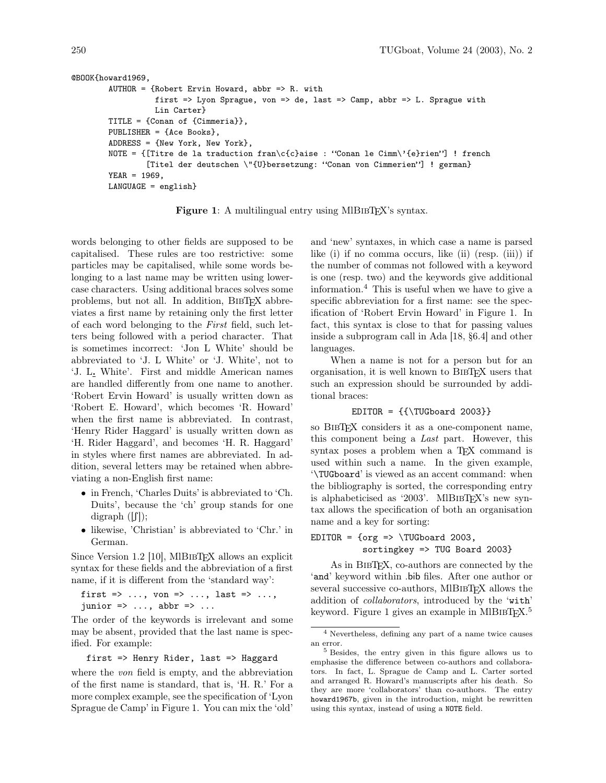| @BOOK{howard1969,                                                                  |
|------------------------------------------------------------------------------------|
| AUTHOR = {Robert Ervin Howard, abbr => R. with                                     |
| first => Lyon Sprague, von => de, last => Camp, abbr => L. Sprague with            |
| Lin Carter}                                                                        |
| TITLE = ${Conan of {Cimmerial}}$ ,                                                 |
| PUBLISHER = ${Ace}$ Books},                                                        |
| ADDRESS = ${New York, New York}$ ,                                                 |
| NOTE = {[Titre de la traduction fran\c{c}aise : "Conan le Cimm\'{e}rien"] ! french |
| [Titel der deutschen \"{U}bersetzung: "Conan von Cimmerien"] ! german}             |
| $YEAR = 1969$ ,                                                                    |
| $LANGUAGE = english$                                                               |

Figure 1: A multilingual entry using MIBIBTEX's syntax.

words belonging to other fields are supposed to be capitalised. These rules are too restrictive: some particles may be capitalised, while some words belonging to a last name may be written using lowercase characters. Using additional braces solves some problems, but not all. In addition, BIBTEX abbreviates a first name by retaining only the first letter of each word belonging to the First field, such letters being followed with a period character. That is sometimes incorrect: 'Jon L White' should be abbreviated to 'J. L White' or 'J. White', not to 'J. L. White'. First and middle American names are handled differently from one name to another. 'Robert Ervin Howard' is usually written down as 'Robert E. Howard', which becomes 'R. Howard' when the first name is abbreviated. In contrast, 'Henry Rider Haggard' is usually written down as 'H. Rider Haggard', and becomes 'H. R. Haggard' in styles where first names are abbreviated. In addition, several letters may be retained when abbreviating a non-English first name:

- in French, 'Charles Duits' is abbreviated to 'Ch. Duits', because the 'ch' group stands for one digraph  $([f])$ ;
- likewise, 'Christian' is abbreviated to 'Chr.' in German.

Since Version 1.2 [10], MIBIBTEX allows an explicit syntax for these fields and the abbreviation of a first name, if it is different from the 'standard way':

first  $\Rightarrow$  ..., von  $\Rightarrow$  ..., last  $\Rightarrow$  ..., junior  $\Rightarrow$  ..., abbr  $\Rightarrow$  ...

The order of the keywords is irrelevant and some may be absent, provided that the last name is specified. For example:

first => Henry Rider, last => Haggard

where the *von* field is empty, and the abbreviation of the first name is standard, that is, 'H. R.' For a more complex example, see the specification of 'Lyon Sprague de Camp' in Figure 1. You can mix the 'old' and 'new' syntaxes, in which case a name is parsed like (i) if no comma occurs, like (ii) (resp. (iii)) if the number of commas not followed with a keyword is one (resp. two) and the keywords give additional information.<sup>4</sup> This is useful when we have to give a specific abbreviation for a first name: see the specification of 'Robert Ervin Howard' in Figure 1. In fact, this syntax is close to that for passing values inside a subprogram call in Ada [18, §6.4] and other languages.

When a name is not for a person but for an organisation, it is well known to BibTEX users that such an expression should be surrounded by additional braces:

#### $EDITOR = {\{\TUGboard 2003\}}$

so BibTEX considers it as a one-component name, this component being a Last part. However, this syntax poses a problem when a T<sub>E</sub>X command is used within such a name. In the given example, '\TUGboard' is viewed as an accent command: when the bibliography is sorted, the corresponding entry is alphabeticised as '2003'. MIBIBT<sub>EX</sub>'s new syntax allows the specification of both an organisation name and a key for sorting:

# EDITOR =  $\text{org} \Rightarrow \text{UGboard } 2003$ , sortingkey => TUG Board 2003}

As in BIBTEX, co-authors are connected by the 'and' keyword within .bib files. After one author or several successive co-authors, MIBIBTFX allows the addition of collaborators, introduced by the 'with' keyword. Figure 1 gives an example in MlBIBT<sub>E</sub>X.<sup>5</sup>

<sup>4</sup> Nevertheless, defining any part of a name twice causes an error.

<sup>5</sup> Besides, the entry given in this figure allows us to emphasise the difference between co-authors and collaborators. In fact, L. Sprague de Camp and L. Carter sorted and arranged R. Howard's manuscripts after his death. So they are more 'collaborators' than co-authors. The entry howard1967b, given in the introduction, might be rewritten using this syntax, instead of using a NOTE field.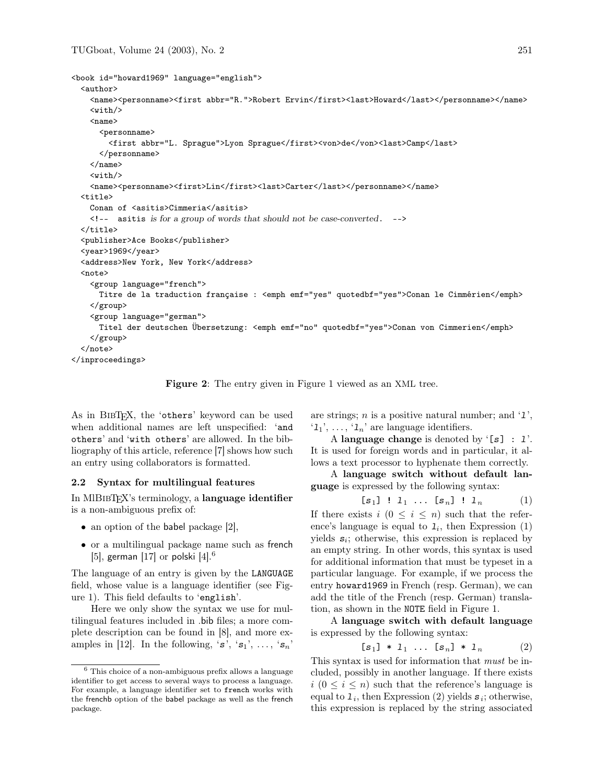```
<book id="howard1969" language="english">
  <author>
    <name><personname><first abbr="R.">Robert Ervin</first><last>Howard</last></personname></name>
    <with/>
    <sub>name</sub></sub>
      <personname>
        <first abbr="L. Sprague">Lyon Sprague</first><von>de</von><last>Camp</last>
      </personname>
    \langle/name\rangle<with/>
    <name><personname><first>Lin</first><last>Carter</last></personname></name>
  <title>
    Conan of <asitis>Cimmeria</asitis>
    <!-- asitis is for a group of words that should not be case-converted. -->
  </title>
  <publisher>Ace Books</publisher>
  <year>1969</year>
  <address>New York, New York</address>
  <sub>note</sub></sub>
    <group language="french">
      Titre de la traduction française : <emph emf="yes" quotedbf="yes">Conan le Cimmérien</emph>
    </group>
    <group language="german">
      Titel der deutschen Übersetzung: <emph emf="no" quotedbf="yes">Conan von Cimmerien</emph>
    </group>
  </note>
</inproceedings>
```
Figure 2: The entry given in Figure 1 viewed as an XML tree.

As in BIBT<sub>EX</sub>, the 'others' keyword can be used when additional names are left unspecified: 'and others' and 'with others' are allowed. In the bibliography of this article, reference [7] shows how such an entry using collaborators is formatted.

### 2.2 Syntax for multilingual features

In MIBIBT<sub>EX</sub>'s terminology, a **language identifier** is a non-ambiguous prefix of:

- an option of the babel package [2],
- or a multilingual package name such as french [5], german  $[17]$  or polski  $[4]$ .<sup>6</sup>

The language of an entry is given by the LANGUAGE field, whose value is a language identifier (see Figure 1). This field defaults to 'english'.

Here we only show the syntax we use for multilingual features included in .bib files; a more complete description can be found in [8], and more examples in [12]. In the following, 's', 's<sub>1</sub>', ..., 's<sub>n</sub>' are strings;  $n$  is a positive natural number; and '1',  $\{1, \ldots, \{1_n\}$  are language identifiers.

A language change is denoted by '[s] :  $1$ '. It is used for foreign words and in particular, it allows a text processor to hyphenate them correctly.

A language switch without default language is expressed by the following syntax:

$$
[s_1] \; : \; 1_1 \; \ldots \; [s_n] \; : \; 1_n \tag{1}
$$

If there exists  $i$   $(0 \leq i \leq n)$  such that the reference's language is equal to  $I_i$ , then Expression (1) yields  $s_i$ ; otherwise, this expression is replaced by an empty string. In other words, this syntax is used for additional information that must be typeset in a particular language. For example, if we process the entry howard1969 in French (resp. German), we can add the title of the French (resp. German) translation, as shown in the NOTE field in Figure 1.

A language switch with default language is expressed by the following syntax:

$$
[\mathbf{s}_1] \ast 1_1 \ldots [\mathbf{s}_n] \ast 1_n \qquad (2)
$$

This syntax is used for information that *must* be included, possibly in another language. If there exists  $i (0 \leq i \leq n)$  such that the reference's language is equal to  $\mathbf{1}_i$ , then Expression (2) yields  $\mathbf{s}_i$ ; otherwise, this expression is replaced by the string associated

 $6$  This choice of a non-ambiguous prefix allows a language identifier to get access to several ways to process a language. For example, a language identifier set to french works with the frenchb option of the babel package as well as the french package.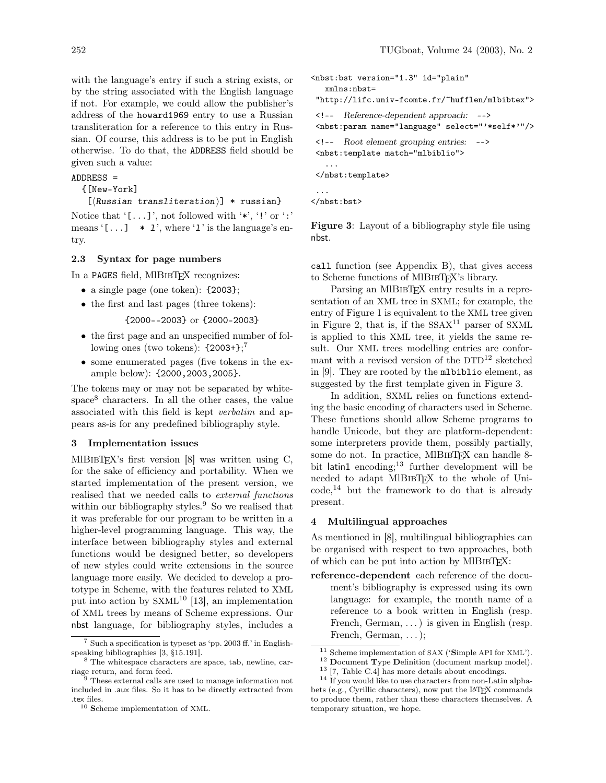with the language's entry if such a string exists, or by the string associated with the English language if not. For example, we could allow the publisher's address of the howard1969 entry to use a Russian transliteration for a reference to this entry in Russian. Of course, this address is to be put in English otherwise. To do that, the ADDRESS field should be given such a value:

#### ADDRESS =

{[New-York]

```
[\langle Russian\ translation\}] * \text{russian}
```
Notice that  $\lceil \ldots \rceil$ , not followed with  $\lceil \cdot \cdot \rceil$  or  $\lceil \cdot \cdot \rceil$ means  $[...]$  \*  $1'$ , where '1' is the language's entry.

# 2.3 Syntax for page numbers

In a PAGES field, MIBIBTFX recognizes:

- a single page (one token):  $\{2003\}$ ;
- the first and last pages (three tokens):

{2000--2003} or {2000-2003}

- the first page and an unspecified number of following ones (two tokens):  ${2003+}$ ;<sup>7</sup>
- some enumerated pages (five tokens in the example below): {2000,2003,2005}.

The tokens may or may not be separated by whitespace<sup>8</sup> characters. In all the other cases, the value associated with this field is kept verbatim and appears as-is for any predefined bibliography style.

# 3 Implementation issues

MlBIBTEX's first version  $[8]$  was written using C, for the sake of efficiency and portability. When we started implementation of the present version, we realised that we needed calls to external functions within our bibliography styles.<sup>9</sup> So we realised that it was preferable for our program to be written in a higher-level programming language. This way, the interface between bibliography styles and external functions would be designed better, so developers of new styles could write extensions in the source language more easily. We decided to develop a prototype in Scheme, with the features related to XML put into action by  $SXML^{10}$  [13], an implementation of XML trees by means of Scheme expressions. Our nbst language, for bibliography styles, includes a

```
<nbst:bst version="1.3" id="plain"
  xmlns:nbst=
 "http://lifc.univ-fcomte.fr/~hufflen/mlbibtex">
<!-- Reference-dependent approach: -->
<nbst:param name="language" select="'*self*'"/>
<!-- Root element grouping entries: -->
<nbst:template match="mlbiblio">
   ...
```

```
</nbst:template>
```

```
</nbst:bst>
```
...

**Figure 3**: Layout of a bibliography style file using nbst.

call function (see Appendix B), that gives access to Scheme functions of MIBIBTEX's library.

Parsing an MIBIBTEX entry results in a representation of an XML tree in SXML; for example, the entry of Figure 1 is equivalent to the XML tree given in Figure 2, that is, if the  $SSAX<sup>11</sup>$  parser of SXML is applied to this XML tree, it yields the same result. Our XML trees modelling entries are conformant with a revised version of the DTD<sup>12</sup> sketched in [9]. They are rooted by the mlbiblio element, as suggested by the first template given in Figure 3.

In addition, SXML relies on functions extending the basic encoding of characters used in Scheme. These functions should allow Scheme programs to handle Unicode, but they are platform-dependent: some interpreters provide them, possibly partially, some do not. In practice, MIBIBTEX can handle 8bit latin1 encoding; $13$  further development will be needed to adapt MIBIBTEX to the whole of Uni $code, 14$  but the framework to do that is already present.

## 4 Multilingual approaches

As mentioned in [8], multilingual bibliographies can be organised with respect to two approaches, both of which can be put into action by MIBIBT<sub>EX</sub>:

reference-dependent each reference of the document's bibliography is expressed using its own language: for example, the month name of a reference to a book written in English (resp. French, German, ...) is given in English (resp. French, German, . . . );

<sup>7</sup> Such a specification is typeset as 'pp. 2003 ff.' in Englishspeaking bibliographies [3, §15.191].

<sup>8</sup> The whitespace characters are space, tab, newline, carriage return, and form feed.

<sup>9</sup> These external calls are used to manage information not included in .aux files. So it has to be directly extracted from .tex files.

<sup>10</sup> Scheme implementation of XML.

 $11$  Scheme implementation of SAX ('Simple API for XML').

<sup>12</sup> Document Type Definition (document markup model). <sup>13</sup> [7, Table C.4] has more details about encodings.

<sup>&</sup>lt;sup>14</sup> If you would like to use characters from non-Latin alpha-

bets (e.g., Cyrillic characters), now put the LATEX commands to produce them, rather than these characters themselves. A temporary situation, we hope.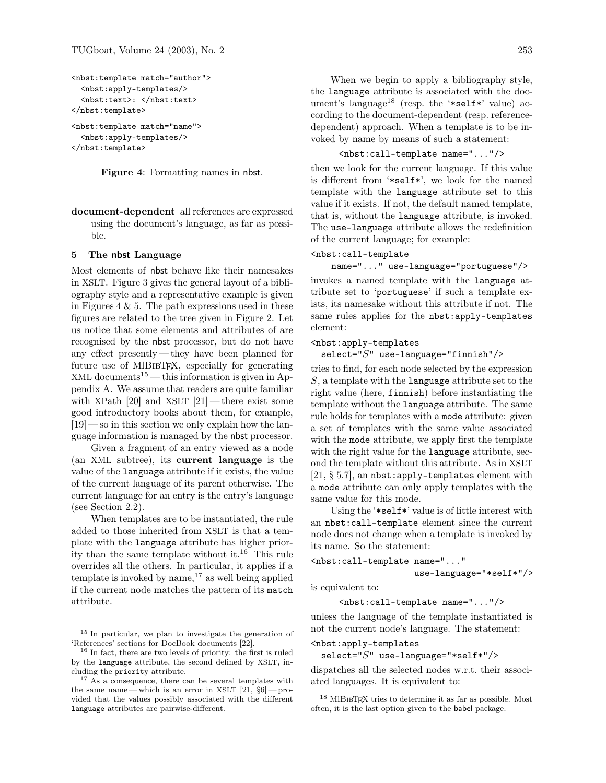```
<nbst:template match="author">
  <nbst:apply-templates/>
  <nbst:text>: </nbst:text>
</nbst:template>
<nbst:template match="name">
  <nbst:apply-templates/>
</nbst:template>
```
Figure 4: Formatting names in nbst.

document-dependent all references are expressed using the document's language, as far as possible.

#### 5 The nbst Language

Most elements of nbst behave like their namesakes in XSLT. Figure 3 gives the general layout of a bibliography style and a representative example is given in Figures 4  $\&$  5. The path expressions used in these figures are related to the tree given in Figure 2. Let us notice that some elements and attributes of are recognised by the nbst processor, but do not have any effect presently— they have been planned for future use of MIBIBT<sub>EX</sub>, especially for generating XML documents<sup>15</sup> — this information is given in Appendix A. We assume that readers are quite familiar with XPath  $[20]$  and XSLT  $[21]$  — there exist some good introductory books about them, for example, [19] — so in this section we only explain how the language information is managed by the nbst processor.

Given a fragment of an entry viewed as a node (an XML subtree), its current language is the value of the language attribute if it exists, the value of the current language of its parent otherwise. The current language for an entry is the entry's language (see Section 2.2).

When templates are to be instantiated, the rule added to those inherited from XSLT is that a template with the language attribute has higher priority than the same template without it.<sup>16</sup> This rule overrides all the others. In particular, it applies if a template is invoked by name, $17$  as well being applied if the current node matches the pattern of its match attribute.

When we begin to apply a bibliography style, the language attribute is associated with the document's language<sup>18</sup> (resp. the '\*self\*' value) according to the document-dependent (resp. referencedependent) approach. When a template is to be invoked by name by means of such a statement:

# <nbst:call-template name="..."/>

then we look for the current language. If this value is different from '\*self\*', we look for the named template with the language attribute set to this value if it exists. If not, the default named template, that is, without the language attribute, is invoked. The use-language attribute allows the redefinition of the current language; for example:

### <nbst:call-template

name="..." use-language="portuguese"/>

invokes a named template with the language attribute set to 'portuguese' if such a template exists, its namesake without this attribute if not. The same rules applies for the nbst: apply-templates element:

### <nbst:apply-templates

 $select="S" use-language="finnish"/>$ 

tries to find, for each node selected by the expression  $S$ , a template with the language attribute set to the right value (here, finnish) before instantiating the template without the language attribute. The same rule holds for templates with a mode attribute: given a set of templates with the same value associated with the mode attribute, we apply first the template with the right value for the language attribute, second the template without this attribute. As in XSLT [21, § 5.7], an nbst:apply-templates element with a mode attribute can only apply templates with the same value for this mode.

Using the '\*self\*' value is of little interest with an nbst:call-template element since the current node does not change when a template is invoked by its name. So the statement:

```
<nbst:call-template name="..."
                    use-language="*self*"/>
```
is equivalent to:

<nbst:call-template name="..."/>

unless the language of the template instantiated is not the current node's language. The statement:

```
<nbst:apply-templates
```

```
select="S" use-language="*self*"/>
```
dispatches all the selected nodes w.r.t. their associated languages. It is equivalent to:

<sup>15</sup> In particular, we plan to investigate the generation of 'References' sections for DocBook documents [22].

<sup>16</sup> In fact, there are two levels of priority: the first is ruled by the language attribute, the second defined by XSLT, including the priority attribute.

<sup>17</sup> As a consequence, there can be several templates with the same name—which is an error in XSLT  $[21, §6]$ —provided that the values possibly associated with the different language attributes are pairwise-different.

<sup>18</sup> MlBibTEX tries to determine it as far as possible. Most often, it is the last option given to the babel package.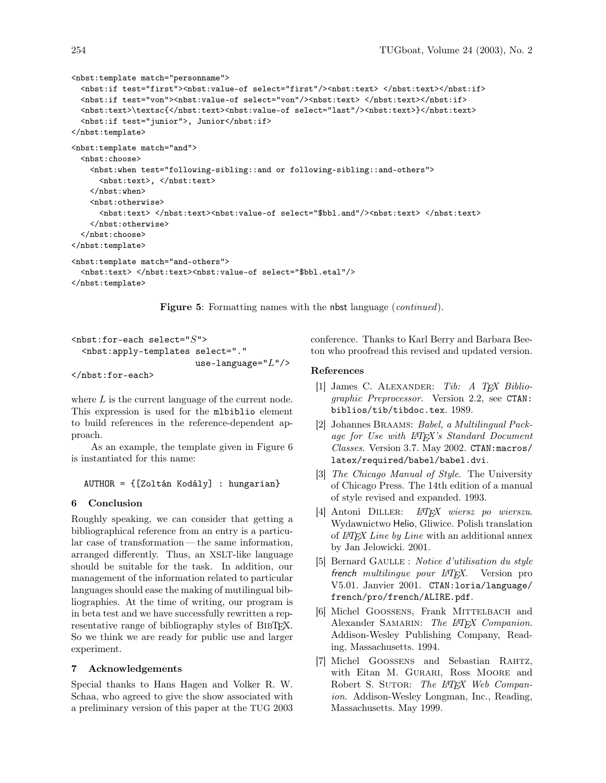```
<nbst:template match="personname">
 <nbst:if test="first"><nbst:value-of select="first"/><nbst:text> </nbst:text></nbst:if>
 <nbst:if test="von"><nbst:value-of select="von"/><nbst:text> </nbst:text></nbst:if>
 <\verb|nbst:text>|<<>|</code><nbst:if test="junior">, Junior</nbst:if>
</nbst:template>
<nbst:template match="and">
 <nbst:choose>
   <nbst:when test="following-sibling::and or following-sibling::and-others">
     <nbst:text>, </nbst:text>
   </nbst:when>
   <nbst:otherwise>
     <nbst:text> </nbst:text><nbst:value-of select="$bbl.and"/><nbst:text> </nbst:text>
   </nbst:otherwise>
 </nbst:choose>
</nbst:template>
<nbst:template match="and-others">
 <nbst:text> </nbst:text><nbst:value-of select="$bbl.etal"/>
</nbst:template>
```
**Figure 5:** Formatting names with the nbst language (*continued*).

```
<sub>nbst:for-each</sub> select='S"</sub>
  <nbst:apply-templates select="."
                            use-language="L"/>
</nbst:for-each>
```
where L is the current language of the current node. This expression is used for the mlbiblio element to build references in the reference-dependent approach.

As an example, the template given in Figure 6 is instantiated for this name:

AUTHOR = {[Zoltán Kodály] : hungarian}

#### 6 Conclusion

Roughly speaking, we can consider that getting a bibliographical reference from an entry is a particular case of transformation — the same information, arranged differently. Thus, an XSLT-like language should be suitable for the task. In addition, our management of the information related to particular languages should ease the making of mutilingual bibliographies. At the time of writing, our program is in beta test and we have successfully rewritten a representative range of bibliography styles of BIBTFX. So we think we are ready for public use and larger experiment.

## 7 Acknowledgements

Special thanks to Hans Hagen and Volker R. W. Schaa, who agreed to give the show associated with a preliminary version of this paper at the TUG 2003 conference. Thanks to Karl Berry and Barbara Beeton who proofread this revised and updated version.

### References

- [1] James C. ALEXANDER: Tib: A TEX Bibliographic Preprocessor. Version 2.2, see CTAN: biblios/tib/tibdoc.tex. 1989.
- [2] Johannes Braams: Babel, a Multilingual Package for Use with LATEX's Standard Document Classes. Version 3.7. May 2002. CTAN:macros/ latex/required/babel/babel.dvi.
- [3] The Chicago Manual of Style. The University of Chicago Press. The 14th edition of a manual of style revised and expanded. 1993.
- [4] Antoni Diller: LATEX wiersz po wierszu. Wydawnictwo Helio, Gliwice. Polish translation of LATEX Line by Line with an additional annex by Jan Jelowicki. 2001.
- [5] Bernard GAULLE : Notice d'utilisation du style french multilingue pour LAT<sub>F</sub>X. Version pro V5.01. Janvier 2001. CTAN:loria/language/ french/pro/french/ALIRE.pdf.
- [6] Michel GOOSSENS, Frank MITTELBACH and Alexander SAMARIN: The LAT<sub>F</sub>X Companion. Addison-Wesley Publishing Company, Reading, Massachusetts. 1994.
- [7] Michel Goossens and Sebastian Rahtz, with Eitan M. GURARI, Ross MOORE and Robert S. SUTOR: The L<sup>AT</sup>EX Web Companion. Addison-Wesley Longman, Inc., Reading, Massachusetts. May 1999.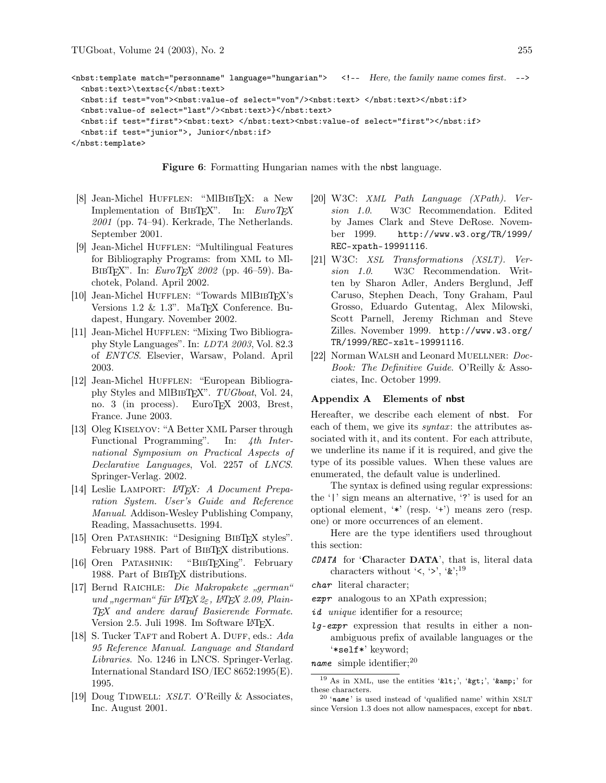```
<nbst:template match="personname" language="hungarian"> <!-- Here, the family name comes first. -->
  <nbst:text>\textsc{</nbst:text>
  <nbst:if test="von"><nbst:value-of select="von"/><nbst:text> </nbst:text></nbst:if>
  <nbst:value-of select="last"/><nbst:text>}</nbst:text>
  <nbst:if test="first"><nbst:text> </nbst:text><nbst:value-of select="first"></nbst:if>
  <nbst:if test="junior">, Junior</nbst:if>
</nbst:template>
```
Figure 6: Formatting Hungarian names with the nbst language.

- [8] Jean-Michel HUFFLEN: "MlBIBTEX: a New Implementation of BIBTEX". In:  $EuroTEX$  $2001$  (pp. 74–94). Kerkrade, The Netherlands. September 2001.
- [9] Jean-Michel Hufflen: "Multilingual Features for Bibliography Programs: from XML to Ml-BIBTEX". In:  $EuroTEX$  2002 (pp. 46–59). Bachotek, Poland. April 2002.
- [10] Jean-Michel HUFFLEN: "Towards MIBIBTEX's Versions 1.2 & 1.3". MaT<sub>E</sub>X Conference. Budapest, Hungary. November 2002.
- [11] Jean-Michel HUFFLEN: "Mixing Two Bibliography Style Languages". In: LDTA 2003, Vol. 82.3 of ENTCS. Elsevier, Warsaw, Poland. April 2003.
- [12] Jean-Michel HUFFLEN: "European Bibliography Styles and MIBIBTEX". TUGboat, Vol. 24, no. 3 (in process). EuroTEX 2003, Brest, France. June 2003.
- [13] Oleg Kiselyov: "A Better XML Parser through Functional Programming". In: 4th International Symposium on Practical Aspects of Declarative Languages, Vol. 2257 of LNCS. Springer-Verlag. 2002.
- [14] Leslie LAMPORT: L<sup>A</sup>TEX: A Document Preparation System. User's Guide and Reference Manual. Addison-Wesley Publishing Company, Reading, Massachusetts. 1994.
- [15] Oren Patashnik: "Designing BibTEX styles". February 1988. Part of BIBTEX distributions.
- [16] Oren Patashnik: "BibTEXing". February 1988. Part of BIBT<sub>EX</sub> distributions.
- [17] Bernd RAICHLE: Die Makropakete "german" und "ngerman" für LATFX  $2\varepsilon$ , LATFX 2.09, Plain-TEX and andere darauf Basierende Formate. Version 2.5. Juli 1998. Im Software LAT<sub>F</sub>X.
- [18] S. Tucker TAFT and Robert A. DUFF, eds.: Ada 95 Reference Manual. Language and Standard Libraries. No. 1246 in LNCS. Springer-Verlag. International Standard ISO/IEC 8652:1995(E). 1995.
- [19] Doug TIDWELL: XSLT. O'Reilly & Associates, Inc. August 2001.
- [20] W3C: XML Path Language (XPath). Version 1.0. W3C Recommendation. Edited by James Clark and Steve DeRose. November 1999. http://www.w3.org/TR/1999/ REC-xpath-19991116.
- [21] W3C: XSL Transformations (XSLT). Version 1.0. W3C Recommendation. Written by Sharon Adler, Anders Berglund, Jeff Caruso, Stephen Deach, Tony Graham, Paul Grosso, Eduardo Gutentag, Alex Milowski, Scott Parnell, Jeremy Richman and Steve Zilles. November 1999. http://www.w3.org/ TR/1999/REC-xslt-19991116.
- [22] Norman WALSH and Leonard MUELLNER: Doc-Book: The Definitive Guide. O'Reilly & Associates, Inc. October 1999.

#### Appendix A Elements of nbst

Hereafter, we describe each element of nbst. For each of them, we give its  $syntax$ : the attributes associated with it, and its content. For each attribute, we underline its name if it is required, and give the type of its possible values. When these values are enumerated, the default value is underlined.

The syntax is defined using regular expressions: the '|' sign means an alternative, '?' is used for an optional element, '\*' (resp. '+') means zero (resp. one) or more occurrences of an element.

Here are the type identifiers used throughout this section:

- CDATA for 'Character DATA', that is, literal data characters without ' $\lt$ , ' $\gt$ ', ' $\&$ ';<sup>19</sup>
- char literal character;
- expr analogous to an XPath expression;
- id unique identifier for a resource;
- $lg$ -expr expression that results in either a nonambiguous prefix of available languages or the '\*self\*' keyword;
- name simple identifier;  $20$

 $19$  As in XML, use the entities '&1t;', '>', '&' for these characters.

 $^{20}$  'name' is used instead of 'qualified name' within XSLT since Version 1.3 does not allow namespaces, except for nbst.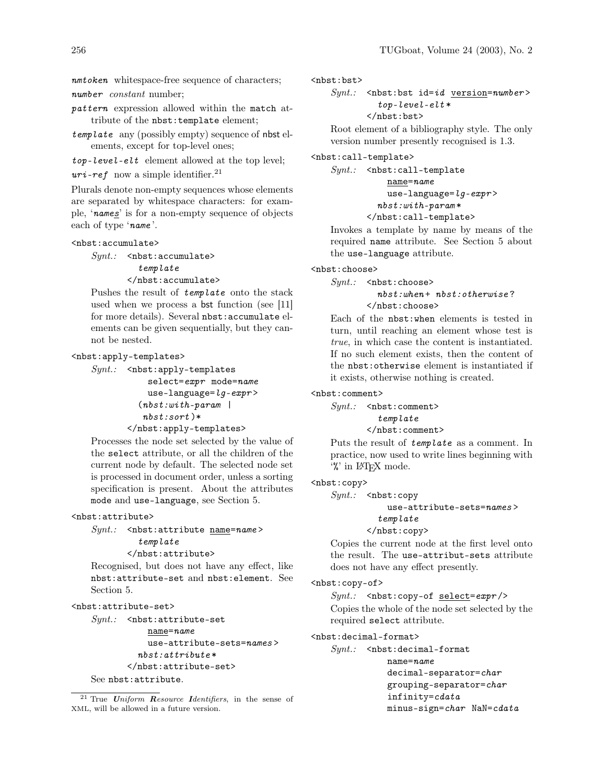nmtoken whitespace-free sequence of characters; number constant number;

pattern expression allowed within the match attribute of the nbst:template element;

template any (possibly empty) sequence of nbst elements, except for top-level ones;

top-level-elt element allowed at the top level;

 $uri-ref$  now a simple identifier.<sup>21</sup>

Plurals denote non-empty sequences whose elements are separated by whitespace characters: for example, 'names' is for a non-empty sequence of objects each of type 'name '.

#### <nbst:accumulate>

 $Synt.$ : <nbst:accumulate> template </nbst:accumulate>

Pushes the result of template onto the stack used when we process a bst function (see [11] for more details). Several nbst:accumulate elements can be given sequentially, but they cannot be nested.

<nbst:apply-templates>

```
Synt.: \leq nbst:apply-templates
           select=expr mode=name
           use-language=lq-expr>
         (nbst:with-paramnbst:sort )*
       </nbst:apply-templates>
```
Processes the node set selected by the value of the select attribute, or all the children of the current node by default. The selected node set is processed in document order, unless a sorting specification is present. About the attributes mode and use-language, see Section 5.

# <nbst:attribute>

 $Synt.:$  <nbst:attribute name=name> template

</nbst:attribute>

Recognised, but does not have any effect, like nbst:attribute-set and nbst:element. See Section 5.

```
<nbst:attribute-set>
```

```
Synt.: \leq nbst:attribute-set
           name=name
           use-attribute-sets=names >
```
nbst:attribute \*

</nbst:attribute-set>

See nbst:attribute.

<nbst:bst>

```
Synt.: < nbst:bst id=id version=number>
         top-level-elt*
```
</nbst:bst>

Root element of a bibliography style. The only version number presently recognised is 1.3.

<nbst:call-template>

```
Synt.: \leq nbst:call-templatename=name
           use-language=lg-expr>
         nbst:with-param *
       </nbst:call-template>
```
Invokes a template by name by means of the required name attribute. See Section 5 about the use-language attribute.

<nbst:choose>

 $Sunt.$ :  $$  $$  $$  $$  $$  $$  $$  $$  $$  $$  $$  $$  $$  $$  $$  $$  $$  $$  $$  $$  $$  $$  $$  $$  $$  $$ 

 $nbst: when + nbst: otherwise?$ </nbst:choose>

Each of the nbst:when elements is tested in turn, until reaching an element whose test is true, in which case the content is instantiated. If no such element exists, then the content of the nbst:otherwise element is instantiated if it exists, otherwise nothing is created.

<nbst:comment>

 $Sunt.$ : <nbst:comment>

template </nbst:comment>

Puts the result of template as a comment. In practice, now used to write lines beginning with '%' in LATEX mode.

### <nbst:copy>

 $Synt.$ : <nbst:copy

use-attribute-sets=names > template

</nbst:copy>

Copies the current node at the first level onto the result. The use-attribut-sets attribute does not have any effect presently.

# <nbst:copy-of>

 $Synt.$ : < nbst:copy-of select=expr /> Copies the whole of the node set selected by the required select attribute.

<nbst:decimal-format>

 $Synt.$ :  $lt; nbst: decimal-format$ name=name decimal-separator=char grouping-separator=char infinity=cdata minus-sign=char NaN=cdata

<sup>&</sup>lt;sup>21</sup> True Uniform Resource Identifiers, in the sense of XML, will be allowed in a future version.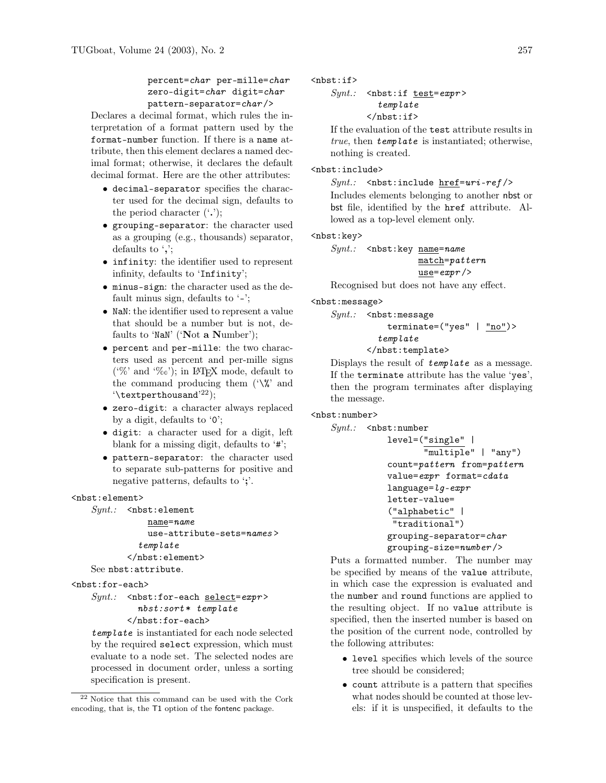# percent=char per-mille=char zero-digit=char digit=char pattern-separator=char />

Declares a decimal format, which rules the interpretation of a format pattern used by the format-number function. If there is a name attribute, then this element declares a named decimal format; otherwise, it declares the default decimal format. Here are the other attributes:

- decimal-separator specifies the character used for the decimal sign, defaults to the period character  $($ .');
- grouping-separator: the character used as a grouping (e.g., thousands) separator, defaults to ',';
- infinity: the identifier used to represent infinity, defaults to 'Infinity';
- minus-sign: the character used as the default minus sign, defaults to  $\lq$ -';
- NaN: the identifier used to represent a value that should be a number but is not, defaults to 'NaN' ('Not a Number');
- percent and per-mille: the two characters used as percent and per-mille signs ('%' and '%o'); in IAT<sub>EX</sub> mode, default to the command producing them  $(\mathcal{H})^n$  and  $\text{'\texttt{{\char'134}}\text{}}$
- zero-digit: a character always replaced by a digit, defaults to '0';
- digit: a character used for a digit, left blank for a missing digit, defaults to '#';
- pattern-separator: the character used to separate sub-patterns for positive and negative patterns, defaults to ';'.

### <nbst:element>

```
Synt.: <nbst:element
           name=name
```
use-attribute-sets=names > template </nbst:element>

See nbst:attribute.

#### <nbst:for-each>

```
Synt.: < nbst:for-each select=expr>
         nbst:sort * template
```

```
</nbst:for-each>
```
template is instantiated for each node selected by the required select expression, which must evaluate to a node set. The selected nodes are processed in document order, unless a sorting specification is present.

 $<sub>nbst:if></sub>$ </sub>

 $Synt.$ : < nbst:if test=expr> template </nbst:if>

If the evaluation of the test attribute results in true, then template is instantiated; otherwise, nothing is created.

# <nbst:include>

 $Sunt.$ : < nbst:include href=uri-ref /> Includes elements belonging to another nbst or bst file, identified by the href attribute. Allowed as a top-level element only.

### <nbst:key>

 $Synt.$ : <nbst:key  $name = name$ match=pattern use=expr />

Recognised but does not have any effect.

## <nbst:message>

 $Synt.:$  <nbst:message terminate=("yes" | "no")> template </nbst:template>

Displays the result of template as a message. If the terminate attribute has the value 'yes', then the program terminates after displaying the message.

# <nbst:number>

```
Synt.: <nbst:number
           level=("single" |
                  "multiple" | "any")
           count=pattern from=pattern
           value=expr format=cdata
           language=lq-expr
           letter-value=
           ("alphabetic" |
            "traditional")
           grouping-separator=char
           grouping-size=number />
```
Puts a formatted number. The number may be specified by means of the value attribute, in which case the expression is evaluated and the number and round functions are applied to the resulting object. If no value attribute is specified, then the inserted number is based on the position of the current node, controlled by the following attributes:

- level specifies which levels of the source tree should be considered;
- count attribute is a pattern that specifies what nodes should be counted at those levels: if it is unspecified, it defaults to the

 $^\mathrm{22}$  Notice that this command can be used with the Cork encoding, that is, the T1 option of the fontenc package.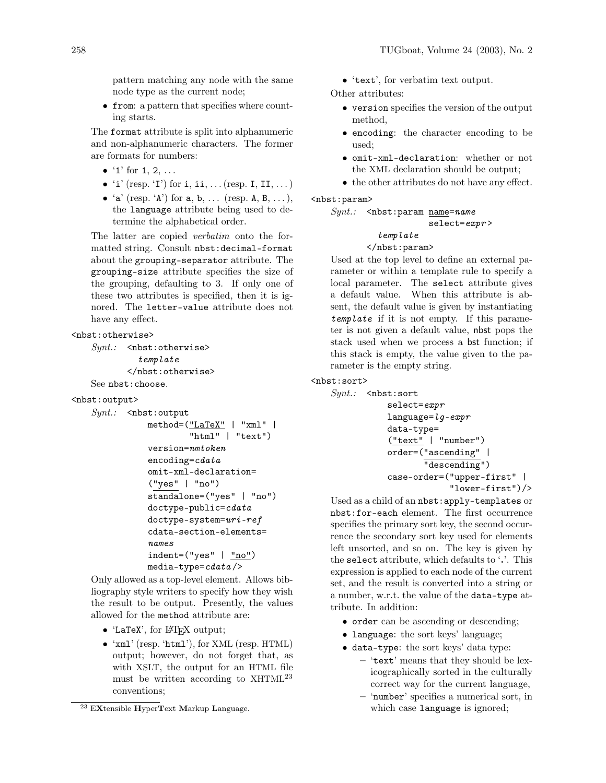pattern matching any node with the same node type as the current node;

• from: a pattern that specifies where counting starts.

The format attribute is split into alphanumeric and non-alphanumeric characters. The former are formats for numbers:

- $'1'$  for 1, 2, ...
- $i'$  (resp.  $i'$ ) for  $i$ ,  $i$ ,  $\ldots$  (resp. I, II,  $\ldots$ )
- $'a'$  (resp.  $'A'$ ) for a, b, ... (resp. A, B, ...), the language attribute being used to determine the alphabetical order.

The latter are copied verbatim onto the formatted string. Consult nbst:decimal-format about the grouping-separator attribute. The grouping-size attribute specifies the size of the grouping, defaulting to 3. If only one of these two attributes is specified, then it is ignored. The letter-value attribute does not have any effect.

### <nbst:otherwise>

```
Synt.: <nbst:otherwise>
         template
       </nbst:otherwise>
See nbst:choose.
```
<nbst:output>

```
Synt.: <nbst:output
```

```
method=("LaTeX" | "xml" |
        "html" | "text")
version=nmtoken
encoding=cdata
omit-xml-declaration=
("yes" | "no")
standalone=("yes" | "no")
doctype-public=cdata
doctype-system=uri-ref
cdata-section-elements=
names
indent=("yes" | <math>\frac{"no"}{"}median-type = cdata /
```
Only allowed as a top-level element. Allows bibliography style writers to specify how they wish the result to be output. Presently, the values allowed for the method attribute are:

- 'LaTeX', for LATEX output;
- 'xml' (resp. 'html'), for XML (resp. HTML) output; however, do not forget that, as with XSLT, the output for an HTML file must be written according to XHTML<sup>23</sup> conventions;

• 'text', for verbatim text output.

Other attributes:

- version specifies the version of the output method,
- encoding: the character encoding to be used;
- omit-xml-declaration: whether or not the XML declaration should be output;
- the other attributes do not have any effect.

# <nbst:param>

```
Synt.: <nbst:param <u>name</u>=name</u>
```

```
select=expr >
```
# template

# </nbst:param>

Used at the top level to define an external parameter or within a template rule to specify a local parameter. The select attribute gives a default value. When this attribute is absent, the default value is given by instantiating template if it is not empty. If this parameter is not given a default value, nbst pops the stack used when we process a bst function; if this stack is empty, the value given to the parameter is the empty string.

# <nbst:sort>

```
Synt.: \leq nbst: sortselect=expr
           language=lq-expr
           data-type=
           ("text" | "number")
           order=("ascending" |
                   "descending")
           case-order=("upper-first" |
                        "lower-first")/>
```
Used as a child of an nbst:apply-templates or nbst:for-each element. The first occurrence specifies the primary sort key, the second occurrence the secondary sort key used for elements left unsorted, and so on. The key is given by the select attribute, which defaults to '.'. This expression is applied to each node of the current set, and the result is converted into a string or a number, w.r.t. the value of the data-type attribute. In addition:

- order can be ascending or descending;
- language: the sort keys' language;
- data-type: the sort keys' data type:
	- 'text' means that they should be lexicographically sorted in the culturally correct way for the current language,
	- 'number' specifies a numerical sort, in which case language is ignored;

<sup>23</sup> EXtensible HyperText Markup Language.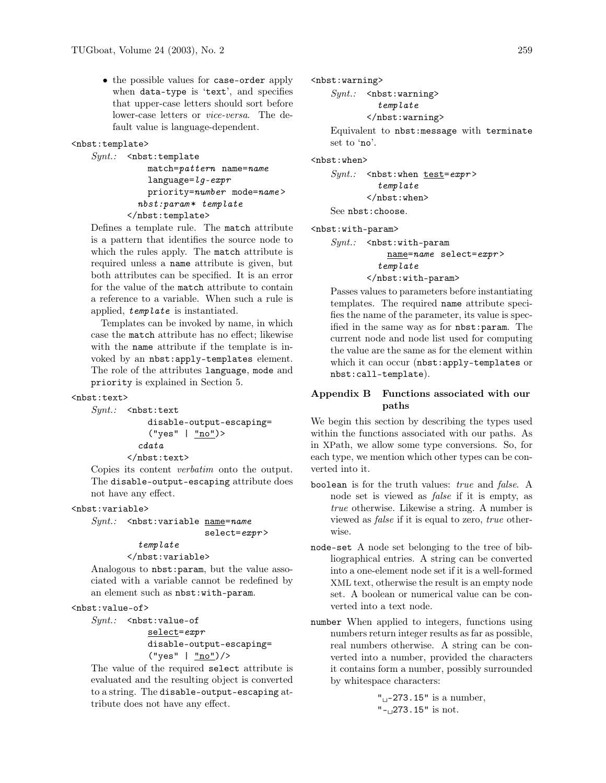• the possible values for case-order apply when data-type is 'text', and specifies that upper-case letters should sort before lower-case letters or vice-versa. The default value is language-dependent.

#### <nbst:template>

```
Synt.: <nbst:template
           match=pattern name=name
           language=lg-expr
           priority=number mode=name >
         nbst:param * template
       </nbst:template>
```
Defines a template rule. The match attribute is a pattern that identifies the source node to which the rules apply. The match attribute is required unless a name attribute is given, but both attributes can be specified. It is an error for the value of the match attribute to contain a reference to a variable. When such a rule is applied, template is instantiated.

Templates can be invoked by name, in which case the match attribute has no effect; likewise with the name attribute if the template is invoked by an nbst:apply-templates element. The role of the attributes language, mode and priority is explained in Section 5.

#### <nbst:text>

```
Synt.: <nbst:text
```
disable-output-escaping= ("yes" | "no")> cdata </nbst:text>

Copies its content verbatim onto the output. The disable-output-escaping attribute does not have any effect.

<nbst:variable>

```
Synt.: <nbst:variable <u>name</u>=name</u>
```

```
select=expr>
```
# template

</nbst:variable>

Analogous to nbst:param, but the value associated with a variable cannot be redefined by an element such as nbst:with-param.

## <nbst:value-of>

 $Synt.:$  <nbst:value-of select=expr disable-output-escaping= ("yes" | "no")/>

The value of the required select attribute is evaluated and the resulting object is converted to a string. The disable-output-escaping attribute does not have any effect.

<nbst:warning>

 $Synt.$ :  $\langle nbst: warning \rangle$ 

template

</nbst:warning>

Equivalent to nbst:message with terminate set to 'no'.

<nbst:when>

 $Synt.$ : < nbst:when test=expr> template </nbst:when> See nbst:choose.

<nbst:with-param>

 $Synt.$ :  $\leq$ nbst:with-param name=name select=expr > template </nbst:with-param>

Passes values to parameters before instantiating templates. The required name attribute specifies the name of the parameter, its value is specified in the same way as for nbst:param. The current node and node list used for computing the value are the same as for the element within which it can occur (nbst:apply-templates or nbst:call-template).

# Appendix B Functions associated with our paths

We begin this section by describing the types used within the functions associated with our paths. As in XPath, we allow some type conversions. So, for each type, we mention which other types can be converted into it.

- boolean is for the truth values: true and false. A node set is viewed as false if it is empty, as true otherwise. Likewise a string. A number is viewed as false if it is equal to zero, true otherwise.
- node-set A node set belonging to the tree of bibliographical entries. A string can be converted into a one-element node set if it is a well-formed XML text, otherwise the result is an empty node set. A boolean or numerical value can be converted into a text node.
- number When applied to integers, functions using numbers return integer results as far as possible, real numbers otherwise. A string can be converted into a number, provided the characters it contains form a number, possibly surrounded by whitespace characters:

" $_{\sqcup}$ -273.15" is a number, "-<sup>1273.15"</sup> is not.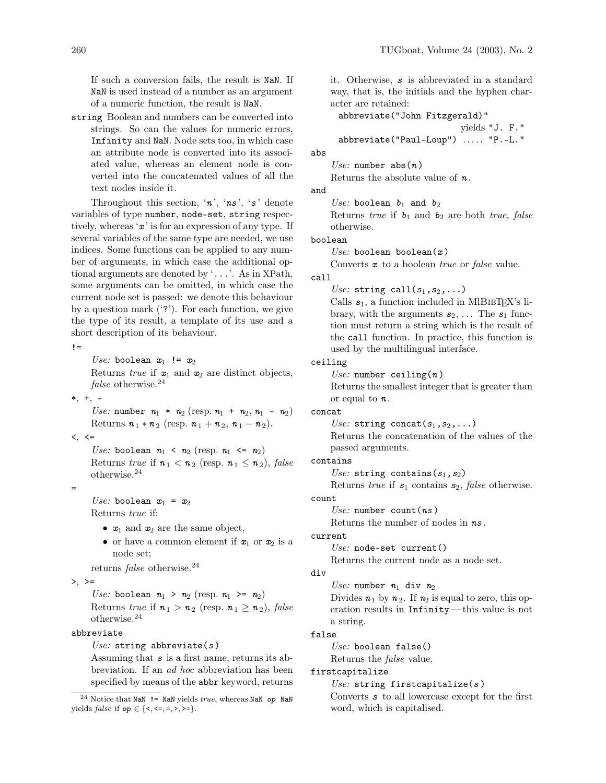If such a conversion fails, the result is NaN. If NaN is used instead of a number as an argument of a numeric function, the result is NaN.

string Boolean and numbers can be converted into strings. So can the values for numeric errors, Infinity and NaN. Node sets too, in which case an attribute node is converted into its associated value, whereas an element node is converted into the concatenated values of all the text nodes inside it.

Throughout this section, ' $n$ ', ' $ns$ ', 's' denote variables of type number, node-set, string respectively, whereas  $x'$  is for an expression of any type. If several variables of the same type are needed, we use indices. Some functions can be applied to any number of arguments, in which case the additional optional arguments are denoted by '...'. As in XPath, some arguments can be omitted, in which case the current node set is passed: we denote this behaviour by a question mark  $('?')$ . For each function, we give the type of its result, a template of its use and a short description of its behaviour.

 $l =$ 

Use: boolean  $x_1$  !=  $x_2$ Returns true if  $x_1$  and  $x_2$  are distinct objects, false otherwise.<sup>24</sup>

 $*, +, -$ 

Use: number  $n_1 * n_2$  (resp.  $n_1 + n_2, n_1 - n_2$ ) Returns  $n_1 * n_2$  (resp.  $n_1 + n_2$ ,  $n_1 - n_2$ ).

 $\lt$ ,  $\lt$ =

=

Use: boolean  $n_1 < n_2$  (resp.  $n_1 \le n_2$ ) Returns true if  $n_1 < n_2$  (resp.  $n_1 \le n_2$ ), false otherwise.<sup>24</sup>

Use: boolean  $x_1 = x_2$ 

Returns true if:

- $x_1$  and  $x_2$  are the same object,
- or have a common element if  $x_1$  or  $x_2$  is a node set;

returns false otherwise.<sup>24</sup>

 $>$ ,  $>=$ 

Use: boolean  $n_1 > n_2$  (resp.  $n_1 > n_2$ ) Returns true if  $n_1 > n_2$  (resp.  $n_1 \ge n_2$ ), false otherwise.<sup>24</sup>

#### abbreviate

Use: string abbreviate( $s$ )

Assuming that s is a first name, returns its abbreviation. If an ad hoc abbreviation has been specified by means of the abbr keyword, returns it. Otherwise, s is abbreviated in a standard way, that is, the initials and the hyphen character are retained:

abbreviate("John Fitzgerald)"

yields "J. F."

abbreviate("Paul-Loup") ..... "P.-L."

abs

Use: number  $abs(n)$ Returns the absolute value of  $n$ .

and

Use: boolean  $b_1$  and  $b_2$ Returns true if  $b_1$  and  $b_2$  are both true, false otherwise.

boolean

Use: boolean boolean $(x)$ 

Converts **x** to a boolean *true* or *false* value.

# call

Use: string call( $s_1, s_2, \ldots$ )

Calls  $s_1$ , a function included in MIBIBT<sub>EX</sub>'s library, with the arguments  $s_2, \ldots$  The  $s_1$  function must return a string which is the result of the call function. In practice, this function is used by the multilingual interface.

### ceiling

Use: number ceiling $(n)$ Returns the smallest integer that is greater than or equal to  $n$ .

### concat

Use: string concat( $s_1, s_2, \ldots$ ) Returns the concatenation of the values of the passed arguments.

contains

Use: string contains  $(s_1, s_2)$ 

Returns true if  $s_1$  contains  $s_2$ , false otherwise.

count

Use: number  $count(ns)$ 

Returns the number of nodes in ns .

# current

Use: node-set current()

Returns the current node as a node set.

div

Use: number  $n_1$  div  $n_2$ Divides  $n_1$  by  $n_2$ . If  $n_2$  is equal to zero, this operation results in Infinity— this value is not a string.

# false

 $Use: boolean false()$ Returns the false value.

#### firstcapitalize

Use: string firstcapitalize( $s$ )

Converts s to all lowercase except for the first word, which is capitalised.

<sup>&</sup>lt;sup>24</sup> Notice that NaN  $!=$  NaN yields true, whereas NaN op NaN yields *false* if *op* ∈ {<, <=, =, >, >=}.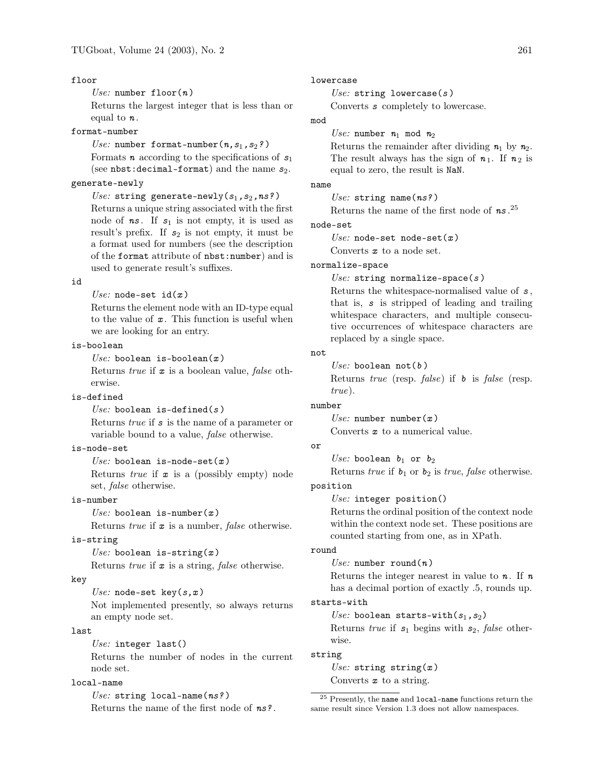## floor

Use: number  $floor(n)$ 

Returns the largest integer that is less than or equal to  $n$ .

format-number

Use: number format-number $(n,s_1,s_2?)$ Formats **n** according to the specifications of  $s_1$ (see nbst:decimal-format) and the name  $s_2$ .

# generate-newly

Use: string generate-newly( $s_1, s_2, ns$ ?) Returns a unique string associated with the first node of  $ns$ . If  $s_1$  is not empty, it is used as result's prefix. If  $s_2$  is not empty, it must be a format used for numbers (see the description of the format attribute of nbst:number) and is used to generate result's suffixes.

#### id

Use: node-set  $id(x)$ 

Returns the element node with an ID-type equal to the value of  $\boldsymbol{x}$ . This function is useful when we are looking for an entry.

# is-boolean

Use: boolean is-boolean $(x)$ 

Returns true if  $x$  is a boolean value, false otherwise.

# is-defined

Use: boolean is-defined(s) Returns true if s is the name of a parameter or variable bound to a value, false otherwise.

## is-node-set

Use: boolean is-node-set $(x)$ Returns *true* if  $x$  is a (possibly empty) node set, false otherwise.

### is-number

Use: boolean is-number( $x$ )

Returns *true* if  $x$  is a number, *false* otherwise.

### is-string

Use: boolean is-string( $x$ )

Returns *true* if  $x$  is a string, *false* otherwise.

### key

Use: node-set key( $s, x$ ) Not implemented presently, so always returns an empty node set.

#### last

Use: integer last()

Returns the number of nodes in the current node set.

## local-name

Use: string  $local$ -name $(ns?)$ Returns the name of the first node of ns? .

#### lowercase

Use: string lowercase( $s$ )

Converts s completely to lowercase.

# mod

Use: number  $n_1$  mod  $n_2$ Returns the remainder after dividing  $n_1$  by  $n_2$ . The result always has the sign of  $n_1$ . If  $n_2$  is equal to zero, the result is NaN.

# name

Use: string name( $ns?$ )

Returns the name of the first node of  $ns.^{25}$ .

### node-set

Use: node-set node-set $(x)$ 

Converts  $x$  to a node set.

# normalize-space

Use: string normalize-space( $s$ )

Returns the whitespace-normalised value of s , that is, s is stripped of leading and trailing whitespace characters, and multiple consecutive occurrences of whitespace characters are replaced by a single space.

# not

Use: boolean  $not(b)$ 

Returns *true* (resp.  $false$ ) if  $\mathbf{b}$  is false (resp. true).

### number

Use: number  $number(x)$ Converts  $x$  to a numerical value.

### or

Use: boolean  $b_1$  or  $b_2$ Returns true if  $b_1$  or  $b_2$  is true, false otherwise.

# position

Use: integer position()

Returns the ordinal position of the context node within the context node set. These positions are counted starting from one, as in XPath.

#### round

Use: number round( $n$ )

Returns the integer nearest in value to  $n$ . If  $n$ has a decimal portion of exactly .5, rounds up.

# starts-with

Use: boolean starts-with( $s_1,s_2$ )

Returns true if  $s_1$  begins with  $s_2$ , false otherwise.

#### string

Use: string string( $x$ )

Converts  $x$  to a string.

<sup>25</sup> Presently, the name and local-name functions return the same result since Version 1.3 does not allow namespaces.